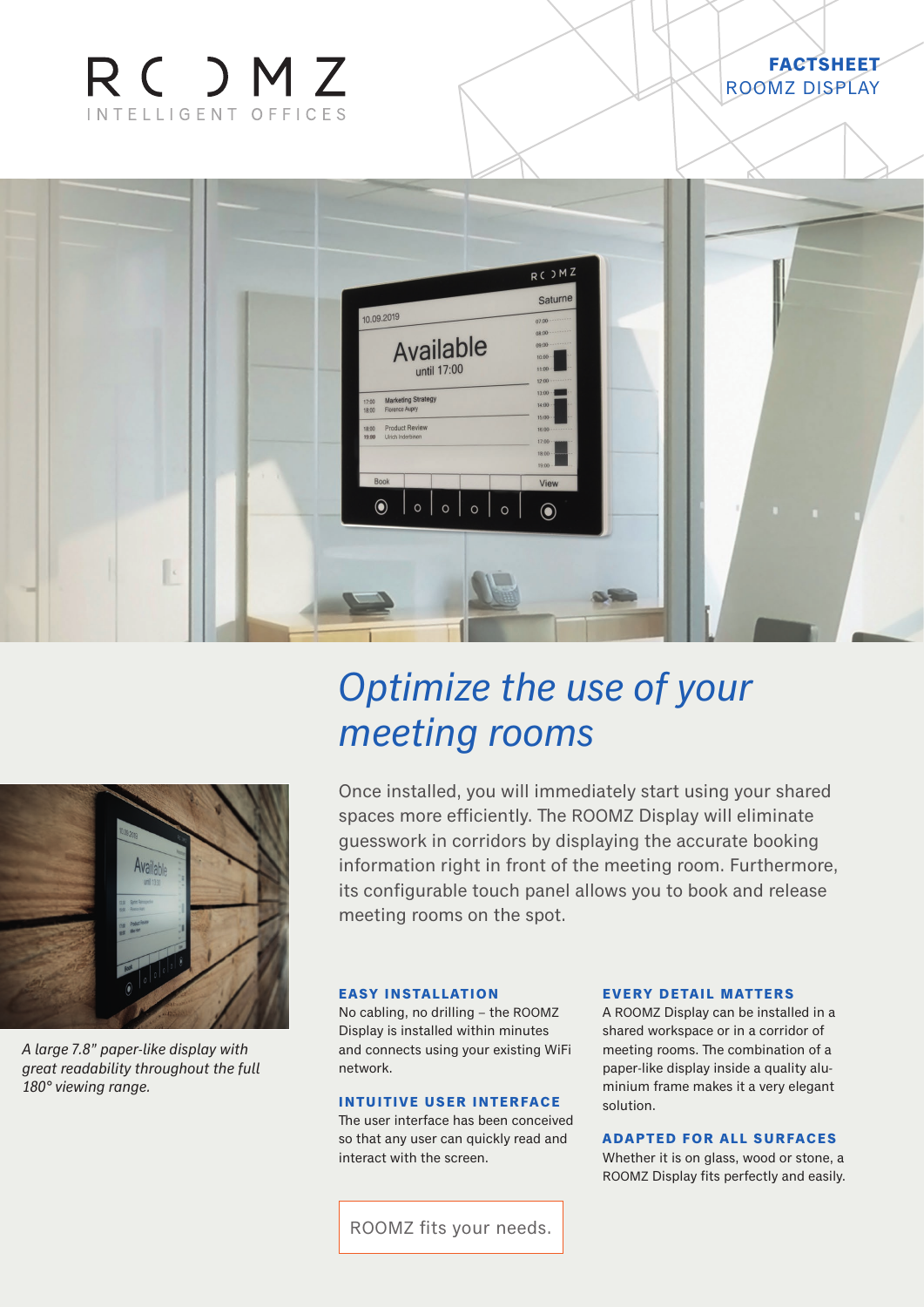





## *Optimize the use of your meeting rooms*

Once installed, you will immediately start using your shared spaces more efficiently. The ROOMZ Display will eliminate guesswork in corridors by displaying the accurate booking information right in front of the meeting room. Furthermore, its configurable touch panel allows you to book and release meeting rooms on the spot.



No cabling, no drilling – the ROOMZ Display is installed within minutes and connects using your existing WiFi network.

#### **INTUITIVE USER INTERFACE**

The user interface has been conceived so that any user can quickly read and interact with the screen.

#### **EVERY DETAIL MATTERS**

A ROOMZ Display can be installed in a shared workspace or in a corridor of meeting rooms. The combination of a paper-like display inside a quality aluminium frame makes it a very elegant solution.

### **ADAPTED FOR ALL SURFACES**

Whether it is on glass, wood or stone, a ROOMZ Display fits perfectly and easily.



*A large 7.8" paper-like display with great readability throughout the full 180° viewing range.*

ROOMZ fits your needs.